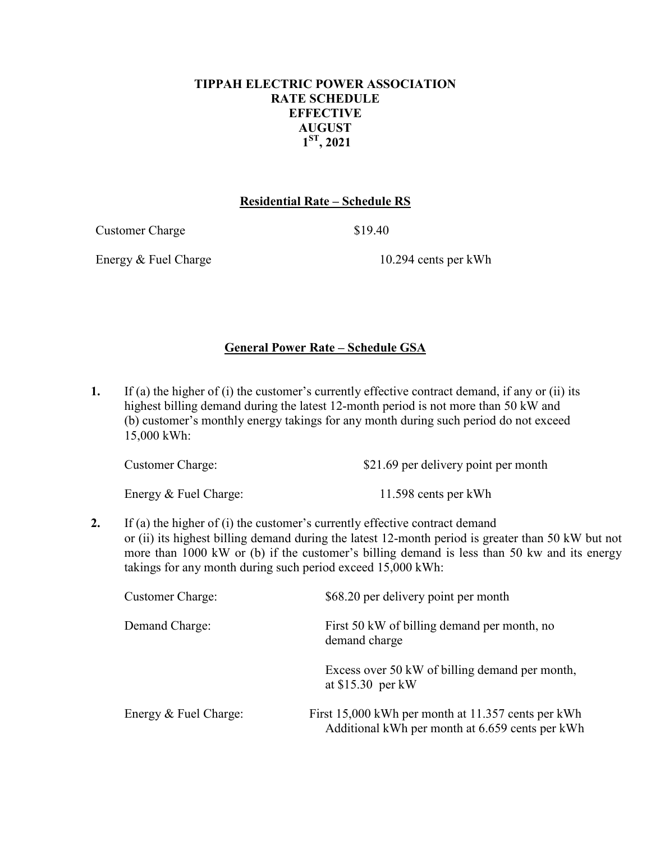## **TIPPAH ELECTRIC POWER ASSOCIATION RATE SCHEDULE EFFECTIVE AUGUST 1ST, 2021**

## **Residential Rate – Schedule RS**

Customer Charge \$19.40

Energy & Fuel Charge 10.294 cents per kWh

## **General Power Rate – Schedule GSA**

**1.** If (a) the higher of (i) the customer's currently effective contract demand, if any or (ii) its highest billing demand during the latest 12-month period is not more than 50 kW and (b) customer's monthly energy takings for any month during such period do not exceed 15,000 kWh:

| <b>Customer Charge:</b> | \$21.69 per delivery point per month |  |  |
|-------------------------|--------------------------------------|--|--|
|                         |                                      |  |  |

Energy & Fuel Charge: 11.598 cents per kWh

**2.** If (a) the higher of (i) the customer's currently effective contract demand or (ii) its highest billing demand during the latest 12-month period is greater than 50 kW but not more than 1000 kW or (b) if the customer's billing demand is less than 50 kw and its energy takings for any month during such period exceed 15,000 kWh:

| <b>Customer Charge:</b> | \$68.20 per delivery point per month                                                                  |
|-------------------------|-------------------------------------------------------------------------------------------------------|
| Demand Charge:          | First 50 kW of billing demand per month, no<br>demand charge                                          |
|                         | Excess over 50 kW of billing demand per month,<br>at $$15.30$ per kW                                  |
| Energy & Fuel Charge:   | First 15,000 kWh per month at 11.357 cents per kWh<br>Additional kWh per month at 6.659 cents per kWh |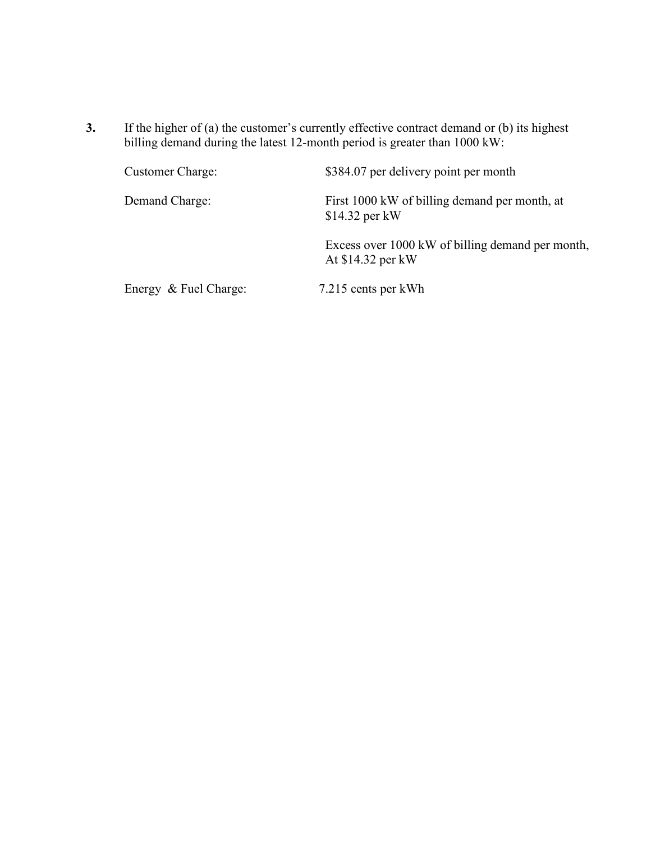**3.** If the higher of (a) the customer's currently effective contract demand or (b) its highest billing demand during the latest 12-month period is greater than 1000 kW:

| Customer Charge:      | \$384.07 per delivery point per month                                 |
|-----------------------|-----------------------------------------------------------------------|
| Demand Charge:        | First 1000 kW of billing demand per month, at<br>$$14.32$ per kW      |
|                       | Excess over 1000 kW of billing demand per month,<br>At \$14.32 per kW |
| Energy & Fuel Charge: | 7.215 cents per kWh                                                   |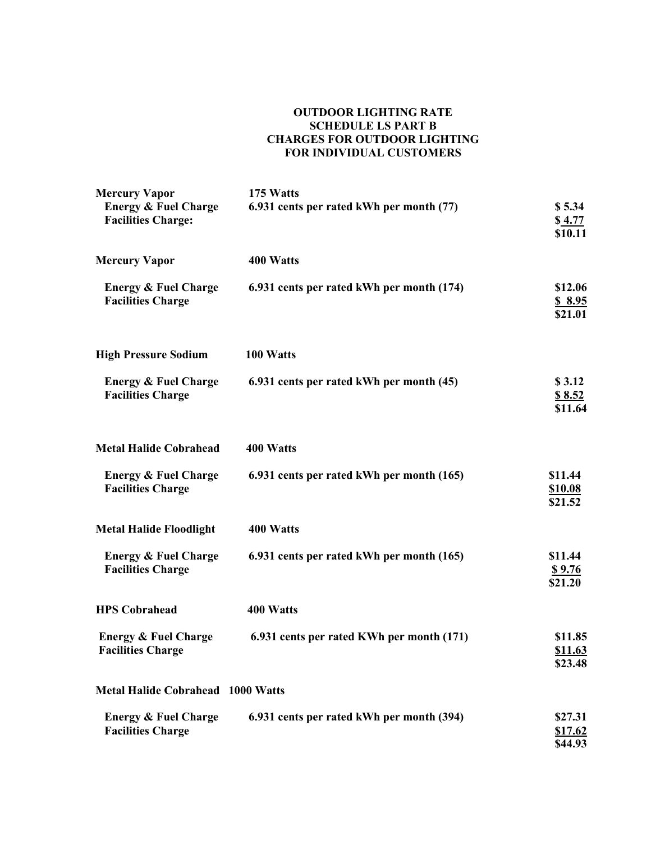#### **OUTDOOR LIGHTING RATE SCHEDULE LS PART B CHARGES FOR OUTDOOR LIGHTING FOR INDIVIDUAL CUSTOMERS**

| <b>Mercury Vapor</b>                                         | 175 Watts                                 |                                      |
|--------------------------------------------------------------|-------------------------------------------|--------------------------------------|
| <b>Energy &amp; Fuel Charge</b><br><b>Facilities Charge:</b> | 6.931 cents per rated kWh per month (77)  | \$5.34<br>\$4.77<br>\$10.11          |
| <b>Mercury Vapor</b>                                         | 400 Watts                                 |                                      |
| <b>Energy &amp; Fuel Charge</b><br><b>Facilities Charge</b>  | 6.931 cents per rated kWh per month (174) | \$12.06<br>\$8.95<br>\$21.01         |
| <b>High Pressure Sodium</b>                                  | 100 Watts                                 |                                      |
| <b>Energy &amp; Fuel Charge</b><br><b>Facilities Charge</b>  | 6.931 cents per rated kWh per month (45)  | \$3.12<br>\$8.52<br>\$11.64          |
| <b>Metal Halide Cobrahead</b>                                | 400 Watts                                 |                                      |
| <b>Energy &amp; Fuel Charge</b><br><b>Facilities Charge</b>  | 6.931 cents per rated kWh per month (165) | \$11.44<br><b>\$10.08</b><br>\$21.52 |
| <b>Metal Halide Floodlight</b>                               | 400 Watts                                 |                                      |
| <b>Energy &amp; Fuel Charge</b><br><b>Facilities Charge</b>  | 6.931 cents per rated kWh per month (165) | \$11.44<br><u>\$9.76</u><br>\$21.20  |
| <b>HPS Cobrahead</b>                                         | 400 Watts                                 |                                      |
| <b>Energy &amp; Fuel Charge</b><br><b>Facilities Charge</b>  | 6.931 cents per rated KWh per month (171) | \$11.85<br>\$11.63<br>\$23.48        |
| <b>Metal Halide Cobrahead 1000 Watts</b>                     |                                           |                                      |
| <b>Energy &amp; Fuel Charge</b><br><b>Facilities Charge</b>  | 6.931 cents per rated kWh per month (394) | \$27.31<br><u>\$17.62</u><br>\$44.93 |